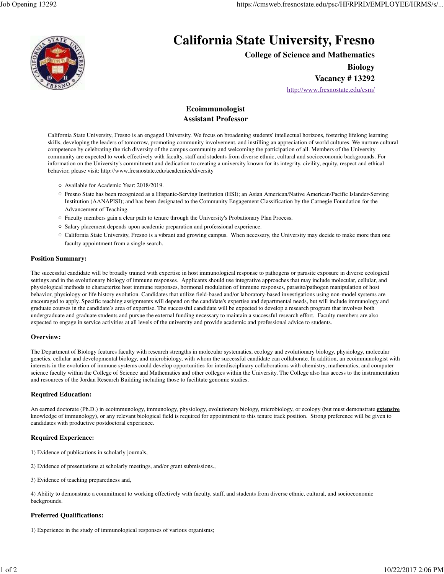

# **California State University, Fresno**

**College of Science and Mathematics**

**Biology**

**Vacancy # 13292**

http://www.fresnostate.edu/csm/

# **Ecoimmunologist Assistant Professor**

California State University, Fresno is an engaged University. We focus on broadening students' intellectual horizons, fostering lifelong learning skills, developing the leaders of tomorrow, promoting community involvement, and instilling an appreciation of world cultures. We nurture cultural competence by celebrating the rich diversity of the campus community and welcoming the participation of all. Members of the University community are expected to work effectively with faculty, staff and students from diverse ethnic, cultural and socioeconomic backgrounds. For information on the University's commitment and dedication to creating a university known for its integrity, civility, equity, respect and ethical behavior, please visit: http://www.fresnostate.edu/academics/diversity

- Available for Academic Year: 2018/2019.
- Fresno State has been recognized as a Hispanic-Serving Institution (HSI); an Asian American/Native American/Pacific Islander-Serving Institution (AANAPISI); and has been designated to the Community Engagement Classification by the Carnegie Foundation for the Advancement of Teaching.
- Faculty members gain a clear path to tenure through the University's Probationary Plan Process.
- $\circ$  Salary placement depends upon academic preparation and professional experience.
- California State University, Fresno is a vibrant and growing campus. When necessary, the University may decide to make more than one faculty appointment from a single search.

#### **Position Summary:**

The successful candidate will be broadly trained with expertise in host immunological response to pathogens or parasite exposure in diverse ecological settings and in the evolutionary biology of immune responses. Applicants should use integrative approaches that may include molecular, cellular, and physiological methods to characterize host immune responses, hormonal modulation of immune responses, parasite/pathogen manipulation of host behavior, physiology or life history evolution. Candidates that utilize field-based and/or laboratory-based investigations using non-model systems are encouraged to apply. Specific teaching assignments will depend on the candidate's expertise and departmental needs, but will include immunology and graduate courses in the candidate's area of expertise. The successful candidate will be expected to develop a research program that involves both undergraduate and graduate students and pursue the external funding necessary to maintain a successful research effort. Faculty members are also expected to engage in service activities at all levels of the university and provide academic and professional advice to students.

## **Overview:**

The Department of Biology features faculty with research strengths in molecular systematics, ecology and evolutionary biology, physiology, molecular genetics, cellular and developmental biology, and microbiology, with whom the successful candidate can collaborate. In addition, an ecoimmunologist with interests in the evolution of immune systems could develop opportunities for interdisciplinary collaborations with chemistry, mathematics, and computer science faculty within the College of Science and Mathematics and other colleges within the University. The College also has access to the instrumentation and resources of the Jordan Research Building including those to facilitate genomic studies.

## **Required Education:**

An earned doctorate (Ph.D.) in ecoimmunology, immunology, physiology, evolutionary biology, microbiology, or ecology (but must demonstrate **extensive** knowledge of immunology), or any relevant biological field is required for appointment to this tenure track position. Strong preference will be given to candidates with productive postdoctoral experience.

## **Required Experience:**

- 1) Evidence of publications in scholarly journals,
- 2) Evidence of presentations at scholarly meetings, and/or grant submissions.,
- 3) Evidence of teaching preparedness and,

4) Ability to demonstrate a commitment to working effectively with faculty, staff, and students from diverse ethnic, cultural, and socioeconomic backgrounds.

## **Preferred Qualifications:**

1) Experience in the study of immunological responses of various organisms;